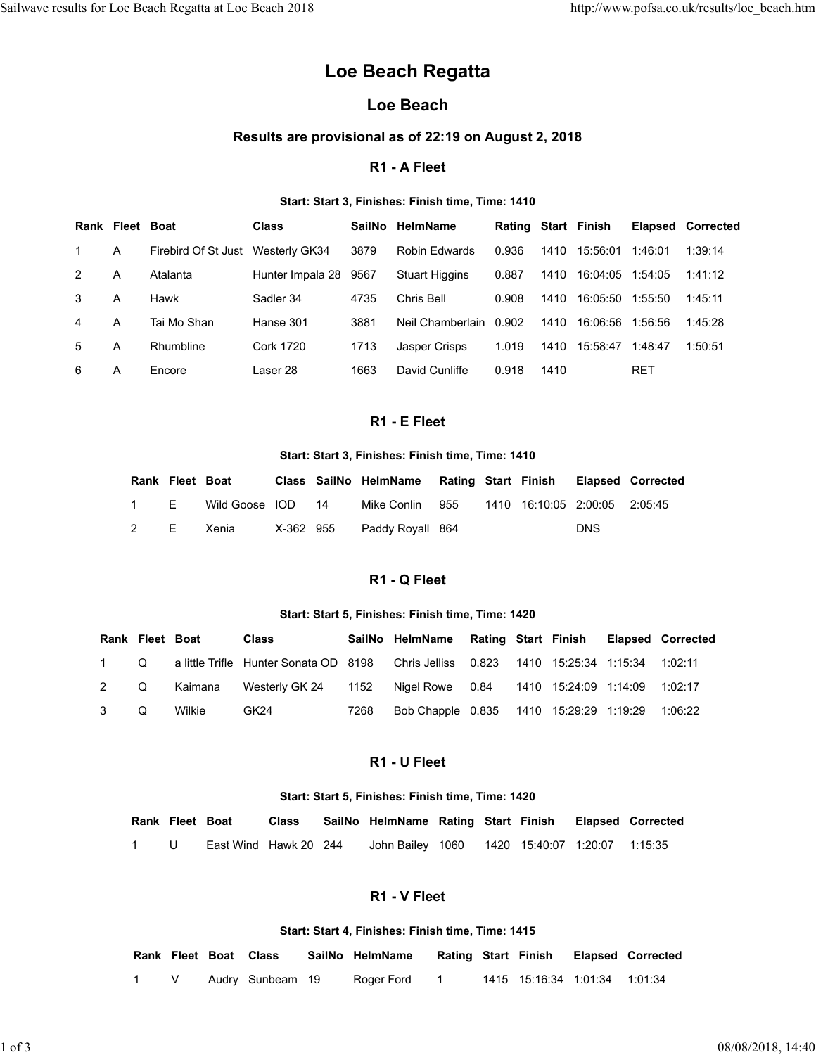# Loe Beach Regatta

# Loe Beach

### Results are provisional as of 22:19 on August 2, 2018

### R1 - A Fleet

### Start: Start 3, Finishes: Finish time, Time: 1410

|                |   |                     |                  | alts for Loe Beach Regatta at Loe Beach 2018 |    |      |                                                       |                   |       |                         |            |                               |         | http://www.pofsa.co.uk/results/loe_beach.htm |
|----------------|---|---------------------|------------------|----------------------------------------------|----|------|-------------------------------------------------------|-------------------|-------|-------------------------|------------|-------------------------------|---------|----------------------------------------------|
|                |   |                     |                  |                                              |    |      | Loe Beach Regatta                                     |                   |       |                         |            |                               |         |                                              |
|                |   |                     |                  |                                              |    |      | <b>Loe Beach</b>                                      |                   |       |                         |            |                               |         |                                              |
|                |   |                     |                  |                                              |    |      | Results are provisional as of 22:19 on August 2, 2018 |                   |       |                         |            |                               |         |                                              |
|                |   |                     |                  |                                              |    |      | R1 - A Fleet                                          |                   |       |                         |            |                               |         |                                              |
|                |   |                     |                  |                                              |    |      | Start: Start 3, Finishes: Finish time, Time: 1410     |                   |       |                         |            |                               |         |                                              |
|                |   | Rank Fleet Boat     |                  | <b>Class</b>                                 |    |      | SailNo HelmName                                       |                   |       | Rating Start Finish     |            |                               |         | <b>Elapsed Corrected</b>                     |
| 1              | Α |                     |                  | Firebird Of St Just Westerly GK34            |    | 3879 | Robin Edwards                                         |                   | 0.936 | 1410                    |            | 15:56:01 1:46:01              |         | 1:39:14                                      |
| $\overline{c}$ | A |                     | Atalanta         | Hunter Impala 28                             |    | 9567 | <b>Stuart Higgins</b>                                 |                   | 0.887 | 1410                    |            | 16:04:05 1:54:05              |         | 1:41:12                                      |
| 3              | Α | Hawk                |                  | Sadler 34                                    |    | 4735 | Chris Bell                                            |                   | 0.908 | 1410                    |            | 16:05:50 1:55:50              |         | 1:45:11                                      |
| 4              | A |                     | Tai Mo Shan      | Hanse 301                                    |    | 3881 | Neil Chamberlain 0.902                                |                   |       | 1410                    |            | 16:06:56 1:56:56              |         | 1:45:28                                      |
| 5              | Α |                     | Rhumbline        | <b>Cork 1720</b>                             |    | 1713 | Jasper Crisps                                         |                   | 1.019 |                         |            | 1410 15:58:47 1:48:47         |         | 1:50:51                                      |
| 6              | Α | Encore              |                  | Laser 28                                     |    | 1663 | David Cunliffe                                        |                   | 0.918 | 1410                    |            | <b>RET</b>                    |         |                                              |
|                |   |                     |                  |                                              |    |      | R1 - E Fleet                                          |                   |       |                         |            |                               |         |                                              |
|                |   |                     |                  |                                              |    |      |                                                       |                   |       |                         |            |                               |         |                                              |
|                |   |                     |                  |                                              |    |      | Start: Start 3, Finishes: Finish time, Time: 1410     |                   |       |                         |            |                               |         |                                              |
|                |   |                     | Rank Fleet Boat  |                                              |    |      | Class SailNo HelmName Rating Start Finish             |                   |       |                         |            | <b>Elapsed Corrected</b>      |         |                                              |
|                |   | 1<br>$\overline{2}$ | E.<br>E<br>Xenia | Wild Goose IOD<br>X-362 955                  | 14 |      | Mike Conlin 955<br>Paddy Royall 864                   |                   |       | 1410 16:10:05 2:00:05   | <b>DNS</b> | 2:05:45                       |         |                                              |
|                |   |                     |                  |                                              |    |      |                                                       |                   |       |                         |            |                               |         |                                              |
|                |   |                     |                  |                                              |    |      | R1 - Q Fleet                                          |                   |       |                         |            |                               |         |                                              |
|                |   |                     |                  |                                              |    |      | Start: Start 5, Finishes: Finish time, Time: 1420     |                   |       |                         |            |                               |         |                                              |
|                |   | Rank Fleet Boat     |                  | <b>Class</b>                                 |    |      | SailNo HelmName Rating Start Finish Elapsed Corrected |                   |       |                         |            |                               |         |                                              |
| 1              |   | Q                   |                  | a little Trifle Hunter Sonata OD 8198        |    |      | Chris Jelliss 0.823                                   |                   |       | 1410  15:25:34  1:15:34 |            |                               | 1:02:11 |                                              |
| $\overline{a}$ |   | Q                   | Kaimana          | Westerly GK 24                               |    | 1152 | Nigel Rowe 0.84                                       |                   |       | 1410 15:24:09 1:14:09   |            |                               | 1:02:17 |                                              |
|                |   |                     |                  |                                              |    |      |                                                       | Bob Chapple 0.835 |       |                         |            | 1410 15:29:29 1:19:29 1:06:22 |         |                                              |

### R1 - E Fleet

### Start: Start 3, Finishes: Finish time, Time: 1410

| Rank Fleet Boat |                    |  | Class SailNo HelmName Rating Start Finish Elapsed Corrected |  |            |  |
|-----------------|--------------------|--|-------------------------------------------------------------|--|------------|--|
| 1 F             | Wild Goose IOD  14 |  | Mike Conlin 955 1410 16:10:05 2:00:05 2:05:45               |  |            |  |
|                 | 2 E Xenia          |  | X-362 955 Paddy Royall 864                                  |  | <b>DNS</b> |  |

# R1 - Q Fleet

### Start: Start 5, Finishes: Finish time, Time: 1420

| Α              |                 | Tai Mo Shan     |                       |       | Hanse 301             |                       | 3881       |                                                   | Neil Chamberlain 0.902 |                            |               |      | 1410 16:06:56 1:56:56         |            |                          | 1:45:28           |
|----------------|-----------------|-----------------|-----------------------|-------|-----------------------|-----------------------|------------|---------------------------------------------------|------------------------|----------------------------|---------------|------|-------------------------------|------------|--------------------------|-------------------|
| A              |                 | Rhumbline       |                       |       | <b>Cork 1720</b>      |                       | 1713       | Jasper Crisps                                     |                        | 1.019                      |               |      | 1410 15:58:47 1:48:47         |            |                          | 1:50:51           |
| Α              |                 | Encore          |                       |       | Laser 28              |                       | 1663       | David Cunliffe                                    |                        | 0.918                      |               | 1410 |                               | <b>RET</b> |                          |                   |
|                |                 |                 |                       |       |                       |                       |            |                                                   |                        |                            |               |      |                               |            |                          |                   |
|                |                 |                 |                       |       |                       |                       |            | R1 - E Fleet                                      |                        |                            |               |      |                               |            |                          |                   |
|                |                 |                 |                       |       |                       |                       |            | Start: Start 3, Finishes: Finish time, Time: 1410 |                        |                            |               |      |                               |            |                          |                   |
|                |                 | Rank Fleet Boat |                       |       |                       | Class SailNo HelmName |            |                                                   | Rating Start Finish    |                            |               |      | <b>Elapsed Corrected</b>      |            |                          |                   |
|                |                 | Ε               | Wild Goose IOD        |       |                       | 14                    |            | Mike Conlin                                       | 955                    |                            | 1410 16:10:05 |      | 2:00:05                       | 2:05:45    |                          |                   |
|                | 2               | Е               | Xenia                 |       | X-362 955             |                       |            | Paddy Royall 864                                  |                        |                            |               |      | <b>DNS</b>                    |            |                          |                   |
|                |                 |                 |                       |       |                       |                       |            |                                                   |                        |                            |               |      |                               |            |                          |                   |
|                |                 |                 |                       |       |                       |                       |            | R1 - Q Fleet                                      |                        |                            |               |      |                               |            |                          |                   |
|                |                 |                 |                       |       |                       |                       |            | Start: Start 5, Finishes: Finish time, Time: 1420 |                        |                            |               |      |                               |            |                          |                   |
|                | Rank Fleet Boat |                 |                       | Class |                       |                       |            | SailNo HelmName                                   |                        | <b>Rating Start Finish</b> |               |      |                               |            | <b>Elapsed Corrected</b> |                   |
| 1              | Q               |                 | a little Trifle       |       | Hunter Sonata OD      |                       | 8198       | Chris Jelliss                                     |                        | 0.823                      |               |      | 1410 15:25:34 1:15:34         |            | 1:02:11                  |                   |
| $\overline{c}$ | Q               | Kaimana         |                       |       | Westerly GK 24        |                       | 1152       | Nigel Rowe                                        |                        | 0.84                       |               |      | 1410 15:24:09 1:14:09         |            | 1:02:17                  |                   |
| 3              | Q               | Wilkie          |                       | GK24  |                       |                       | 7268       | Bob Chapple 0.835                                 |                        |                            |               |      | 1410  15:29:29  1:19:29       |            | 1:06:22                  |                   |
|                |                 |                 |                       |       |                       |                       |            |                                                   |                        |                            |               |      |                               |            |                          |                   |
|                |                 |                 |                       |       |                       |                       |            | R1 - U Fleet                                      |                        |                            |               |      |                               |            |                          |                   |
|                |                 |                 |                       |       |                       |                       |            | Start: Start 5, Finishes: Finish time, Time: 1420 |                        |                            |               |      |                               |            |                          |                   |
|                |                 | Rank Fleet Boat |                       |       | <b>Class</b>          |                       |            | SailNo HelmName Rating Start Finish               |                        |                            |               |      | <b>Elapsed Corrected</b>      |            |                          |                   |
|                | 1               | U               |                       |       | East Wind Hawk 20 244 |                       |            | John Bailey 1060                                  |                        |                            |               |      | 1420 15:40:07 1:20:07 1:15:35 |            |                          |                   |
|                |                 |                 |                       |       |                       |                       |            |                                                   |                        |                            |               |      |                               |            |                          |                   |
|                |                 |                 |                       |       |                       |                       |            | R1 - V Fleet                                      |                        |                            |               |      |                               |            |                          |                   |
|                |                 |                 |                       |       |                       |                       |            | Start: Start 4, Finishes: Finish time, Time: 1415 |                        |                            |               |      |                               |            |                          |                   |
|                |                 |                 | Rank Fleet Boat Class |       |                       | SailNo HelmName       |            |                                                   | Rating Start Finish    |                            |               |      | <b>Elapsed Corrected</b>      |            |                          |                   |
|                | $\mathbf{1}$    | V               |                       |       | Audry Sunbeam 19      |                       | Roger Ford |                                                   | $\mathbf{1}$           |                            |               |      | 1415 15:16:34 1:01:34 1:01:34 |            |                          |                   |
|                |                 |                 |                       |       |                       |                       |            |                                                   |                        |                            |               |      |                               |            |                          |                   |
|                |                 |                 |                       |       |                       |                       |            |                                                   |                        |                            |               |      |                               |            |                          |                   |
|                |                 |                 |                       |       |                       |                       |            |                                                   |                        |                            |               |      |                               |            |                          | 08/08/2018, 14:40 |

# R1 - U Fleet

### Start: Start 5, Finishes: Finish time, Time: 1420

| R1 - U Fleet<br>Start: Start 5, Finishes: Finish time, Time: 1420<br>Rank Fleet Boat<br>SailNo HelmName Rating Start Finish<br><b>Elapsed Corrected</b><br><b>Class</b><br>East Wind Hawk 20 244<br>John Bailey 1060<br>1420 15:40:07<br>$\mathbf 1$<br>U<br>1:20:07<br>1:15:35<br>R1 - V Fleet<br>Start: Start 4, Finishes: Finish time, Time: 1415<br>Rank Fleet Boat Class<br>SailNo HelmName<br>Rating Start Finish<br><b>Elapsed Corrected</b><br>V<br>Audry Sunbeam 19<br>Roger Ford<br>1415 15:16:34 1:01:34 1:01:34<br>$\mathbf{1}$<br>$\mathbf{1}$ |            | 3<br>Q | Wilkie | GK24 | 7268 | Bob Chapple 0.835 |  | 1410 15:29:29 1:19:29 | 1:06:22 |                   |
|-------------------------------------------------------------------------------------------------------------------------------------------------------------------------------------------------------------------------------------------------------------------------------------------------------------------------------------------------------------------------------------------------------------------------------------------------------------------------------------------------------------------------------------------------------------|------------|--------|--------|------|------|-------------------|--|-----------------------|---------|-------------------|
|                                                                                                                                                                                                                                                                                                                                                                                                                                                                                                                                                             |            |        |        |      |      |                   |  |                       |         |                   |
|                                                                                                                                                                                                                                                                                                                                                                                                                                                                                                                                                             |            |        |        |      |      |                   |  |                       |         |                   |
|                                                                                                                                                                                                                                                                                                                                                                                                                                                                                                                                                             |            |        |        |      |      |                   |  |                       |         |                   |
|                                                                                                                                                                                                                                                                                                                                                                                                                                                                                                                                                             |            |        |        |      |      |                   |  |                       |         |                   |
|                                                                                                                                                                                                                                                                                                                                                                                                                                                                                                                                                             |            |        |        |      |      |                   |  |                       |         |                   |
|                                                                                                                                                                                                                                                                                                                                                                                                                                                                                                                                                             |            |        |        |      |      |                   |  |                       |         |                   |
|                                                                                                                                                                                                                                                                                                                                                                                                                                                                                                                                                             |            |        |        |      |      |                   |  |                       |         |                   |
|                                                                                                                                                                                                                                                                                                                                                                                                                                                                                                                                                             |            |        |        |      |      |                   |  |                       |         |                   |
|                                                                                                                                                                                                                                                                                                                                                                                                                                                                                                                                                             |            |        |        |      |      |                   |  |                       |         |                   |
|                                                                                                                                                                                                                                                                                                                                                                                                                                                                                                                                                             |            |        |        |      |      |                   |  |                       |         |                   |
|                                                                                                                                                                                                                                                                                                                                                                                                                                                                                                                                                             | $1$ of $3$ |        |        |      |      |                   |  |                       |         | 08/08/2018, 14:40 |

# R1 - V Fleet

#### Start: Start 4, Finishes: Finish time, Time: 1415

|  | <b>Rank Fleet Boat Class</b> | SailNo HelmName |  |                                  | Rating Start Finish Elapsed Corrected |
|--|------------------------------|-----------------|--|----------------------------------|---------------------------------------|
|  | Audry Sunbeam 19             | Roger Ford  1   |  | 1415  15:16:34  1:01:34  1:01:34 |                                       |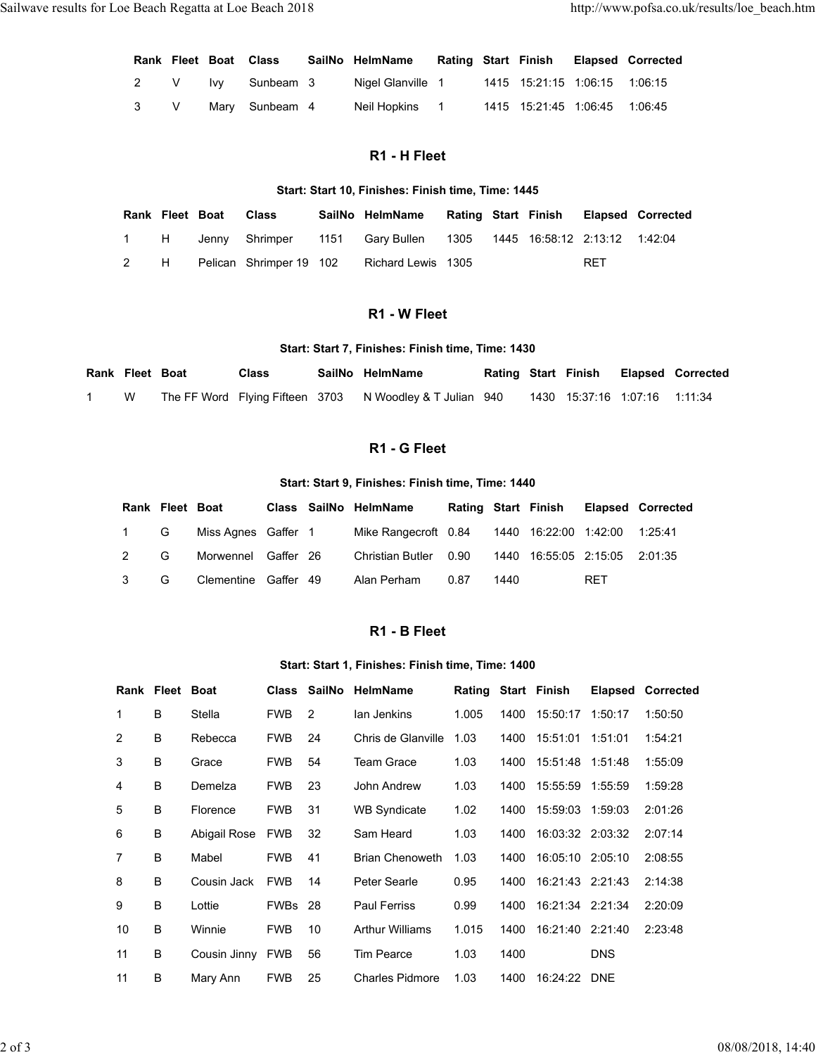| Sailwave results for Loe Beach Regatta at Loe Beach 2018 |                |   |     |                       |                                                    |  |                               | http://www.pofsa.co.uk/results/loe_beach.htm |
|----------------------------------------------------------|----------------|---|-----|-----------------------|----------------------------------------------------|--|-------------------------------|----------------------------------------------|
|                                                          |                |   |     | Rank Fleet Boat Class | SailNo HelmName                                    |  | <b>Rating Start Finish</b>    | <b>Elapsed Corrected</b>                     |
|                                                          | $\overline{2}$ | V | Ivy | Sunbeam 3             | Nigel Glanville 1                                  |  | 1415 15:21:15 1:06:15 1:06:15 |                                              |
|                                                          | $\mathbf{3}$   | V |     | Mary Sunbeam 4        | Neil Hopkins 1                                     |  | 1415 15:21:45 1:06:45 1:06:45 |                                              |
|                                                          |                |   |     |                       | R1 - H Fleet                                       |  |                               |                                              |
|                                                          |                |   |     |                       | Start: Start 10, Finishes: Finish time, Time: 1445 |  |                               |                                              |

### R1 - H Fleet

### Start: Start 10, Finishes: Finish time, Time: 1445

|                           |                 |            | for Loe Beach Regatta at Loe Beach 2018 |      |                                                    |                            |                     |                               |                          | http://www.pofsa.co.uk/results/loe_beach.htm |
|---------------------------|-----------------|------------|-----------------------------------------|------|----------------------------------------------------|----------------------------|---------------------|-------------------------------|--------------------------|----------------------------------------------|
|                           | Rank Fleet Boat |            | <b>Class</b>                            |      | SailNo HelmName                                    | Rating Start Finish        |                     |                               | <b>Elapsed Corrected</b> |                                              |
| 2                         | V               | <b>Ivy</b> | Sunbeam 3                               |      | Nigel Glanville 1                                  |                            |                     | 1415 15:21:15 1:06:15         | 1:06:15                  |                                              |
| $\ensuremath{\mathsf{3}}$ | $\mathsf{V}$    | Mary       | Sunbeam 4                               |      | Neil Hopkins                                       | $\overline{\phantom{0}}$ 1 |                     | 1415 15:21:45 1:06:45 1:06:45 |                          |                                              |
|                           |                 |            |                                         |      |                                                    |                            |                     |                               |                          |                                              |
|                           |                 |            |                                         |      | R1 - H Fleet                                       |                            |                     |                               |                          |                                              |
|                           |                 |            |                                         |      | Start: Start 10, Finishes: Finish time, Time: 1445 |                            |                     |                               |                          |                                              |
|                           | Rank Fleet Boat |            | <b>Class</b>                            |      | SailNo HelmName                                    |                            | Rating Start Finish |                               | <b>Elapsed Corrected</b> |                                              |
| 1                         | Н               | Jenny      | Shrimper                                | 1151 | <b>Gary Bullen</b>                                 | 1305                       |                     | 1445 16:58:12 2:13:12 1:42:04 |                          |                                              |
| $\overline{\mathbf{c}}$   | Н               |            | Pelican Shrimper 19 102                 |      | Richard Lewis 1305                                 |                            |                     | <b>RET</b>                    |                          |                                              |
|                           |                 |            |                                         |      |                                                    |                            |                     |                               |                          |                                              |
|                           |                 |            |                                         |      | R1 - W Fleet                                       |                            |                     |                               |                          |                                              |
|                           |                 |            |                                         |      | Start: Start 7, Finishes: Finish time, Time: 1430  |                            |                     |                               |                          |                                              |
| Rank Fleet Boat           |                 |            | <b>Class</b>                            |      | SailNo HelmName                                    |                            | Rating Start Finish |                               |                          | <b>Elapsed Corrected</b>                     |
| W                         |                 |            | The FF Word Flying Fifteen 3703         |      | N Woodley & T Julian 940                           |                            |                     | 1430 15:37:16 1:07:16 1:11:34 |                          |                                              |
|                           |                 |            |                                         |      | R1 - G Fleet                                       |                            |                     |                               |                          |                                              |
|                           |                 |            |                                         |      |                                                    |                            |                     |                               |                          |                                              |
|                           |                 |            |                                         |      | Start: Start & Einiches: Einich time, Time: 1440   |                            |                     |                               |                          |                                              |

### R1 - W Fleet

### Start: Start 7, Finishes: Finish time, Time: 1430

| Rank Fleet Boat |   | Class | SailNo HelmName                                          |  |                                  | Rating Start Finish Elapsed Corrected |
|-----------------|---|-------|----------------------------------------------------------|--|----------------------------------|---------------------------------------|
|                 | W |       | The FF Word Flying Fifteen 3703 N Woodley & T Julian 940 |  | 1430  15:37:16  1:07:16  1:11:34 |                                       |

### R1 - G Fleet

### Start: Start 9, Finishes: Finish time, Time: 1440

|            |                 |            |                                 |      | $111 - 1111001$                                                  |                     |      |                               |            |                          |
|------------|-----------------|------------|---------------------------------|------|------------------------------------------------------------------|---------------------|------|-------------------------------|------------|--------------------------|
|            |                 |            |                                 |      | Start: Start 10, Finishes: Finish time, Time: 1445               |                     |      |                               |            |                          |
|            | Rank Fleet Boat |            | <b>Class</b>                    |      | SailNo HelmName                                                  | Rating Start Finish |      |                               |            | <b>Elapsed Corrected</b> |
| 1          | H               | Jenny      | Shrimper                        | 1151 | Gary Bullen                                                      | 1305                |      | 1445 16:58:12 2:13:12 1:42:04 |            |                          |
| 2          | H               |            | Pelican Shrimper 19 102         |      | Richard Lewis 1305                                               |                     |      |                               | <b>RET</b> |                          |
|            |                 |            |                                 |      | R1 - W Fleet                                                     |                     |      |                               |            |                          |
|            |                 |            |                                 |      | Start: Start 7, Finishes: Finish time, Time: 1430                |                     |      |                               |            |                          |
| Fleet Boat |                 |            | <b>Class</b>                    |      | SailNo HelmName                                                  |                     |      | <b>Rating Start Finish</b>    |            | <b>Elapsed Corrected</b> |
| W          |                 |            | The FF Word Flying Fifteen 3703 |      | N Woodley & T Julian 940                                         |                     |      | 1430 15:37:16 1:07:16         |            | 1:11:34                  |
|            |                 |            |                                 |      | R1 - G Fleet                                                     |                     |      |                               |            |                          |
|            |                 |            |                                 |      | Start: Start 9, Finishes: Finish time, Time: 1440                |                     |      |                               |            |                          |
|            | Rank Fleet Boat |            |                                 |      | Class SailNo HelmName                                            |                     |      | Rating Start Finish           |            | <b>Elapsed Corrected</b> |
| 1          | G               |            | Miss Agnes Gaffer 1             |      | Mike Rangecroft 0.84                                             |                     |      | 1440 16:22:00 1:42:00         |            | 1:25:41                  |
| 2          | G               | Morwennel  | Gaffer 26                       |      | <b>Christian Butler</b>                                          | 0.90                | 1440 | 16:55:05 2:15:05              |            | 2:01:35                  |
| 3          | G               | Clementine | Gaffer 49                       |      | Alan Perham                                                      | 0.87                | 1440 |                               | <b>RET</b> |                          |
|            |                 |            |                                 |      |                                                                  |                     |      |                               |            |                          |
|            |                 |            |                                 |      | R1 - B Fleet<br>Start: Start 1 Einichne: Einich time, Time: 1400 |                     |      |                               |            |                          |

### R1 - B Fleet

### Start: Start 1, Finishes: Finish time, Time: 1400

|            |                     |                 |                                             |                  |      | Start: Start 7, Finishes: Finish time, Time: 1430 |                     |      |                     |                                     |                               |                          |
|------------|---------------------|-----------------|---------------------------------------------|------------------|------|---------------------------------------------------|---------------------|------|---------------------|-------------------------------------|-------------------------------|--------------------------|
|            | Rank Fleet Boat     |                 | <b>Class</b>                                |                  |      | SailNo HelmName                                   |                     |      | Rating Start Finish |                                     |                               | <b>Elapsed Corrected</b> |
| -1         | W                   |                 | The FF Word Flying Fifteen 3703             |                  |      | N Woodley & T Julian 940                          |                     |      |                     |                                     | 1430 15:37:16 1:07:16 1:11:34 |                          |
|            |                     |                 |                                             |                  |      | R1 - G Fleet                                      |                     |      |                     |                                     |                               |                          |
|            |                     |                 |                                             |                  |      |                                                   |                     |      |                     |                                     |                               |                          |
|            |                     |                 |                                             |                  |      | Start: Start 9, Finishes: Finish time, Time: 1440 |                     |      |                     |                                     |                               |                          |
|            |                     | Rank Fleet Boat |                                             |                  |      | Class SailNo HelmName                             | Rating Start Finish |      |                     |                                     | <b>Elapsed Corrected</b>      |                          |
|            | 1                   | G<br>G          | Miss Agnes Gaffer 1                         |                  |      | Mike Rangecroft 0.84                              |                     |      |                     |                                     | 1440 16:22:00 1:42:00 1:25:41 |                          |
|            | $\overline{c}$<br>3 | G               | Morwennel Gaffer 26<br>Clementine Gaffer 49 |                  |      | <b>Christian Butler</b><br>Alan Perham            | 0.90<br>0.87        | 1440 |                     | 1440 16:55:05 2:15:05<br><b>RET</b> | 2:01:35                       |                          |
|            |                     |                 |                                             |                  |      |                                                   |                     |      |                     |                                     |                               |                          |
|            |                     |                 |                                             |                  |      | R1 - B Fleet                                      |                     |      |                     |                                     |                               |                          |
|            |                     |                 |                                             |                  |      | Start: Start 1, Finishes: Finish time, Time: 1400 |                     |      |                     |                                     |                               |                          |
|            |                     | Rank Fleet Boat |                                             |                  |      | Class SailNo HelmName                             |                     |      | Rating Start Finish |                                     | <b>Elapsed Corrected</b>      |                          |
|            | 1                   | В               | Stella                                      | FWB <sub>2</sub> |      | lan Jenkins                                       | 1.005               | 1400 |                     | 15:50:17 1:50:17                    | 1:50:50                       |                          |
|            | $\overline{2}$      | B               | Rebecca                                     | <b>FWB</b>       | 24   | Chris de Glanville 1.03                           |                     | 1400 |                     | 15:51:01 1:51:01                    | 1:54:21                       |                          |
|            | $\mathfrak{3}$      | B               | Grace                                       | <b>FWB</b>       | 54   | Team Grace                                        | 1.03                | 1400 |                     | 15:51:48 1:51:48                    | 1:55:09                       |                          |
|            | 4                   | В               | Demelza                                     | <b>FWB</b>       | 23   | John Andrew                                       | 1.03                | 1400 |                     | 15:55:59 1:55:59                    | 1:59:28                       |                          |
|            | $\,$ 5 $\,$         | В               | Florence                                    | <b>FWB</b>       | 31   | <b>WB Syndicate</b>                               | 1.02                | 1400 |                     | 15:59:03 1:59:03                    | 2:01:26                       |                          |
|            | 6                   | В               | Abigail Rose FWB                            |                  | 32   | Sam Heard                                         | 1.03                | 1400 |                     | 16:03:32 2:03:32                    | 2:07:14                       |                          |
|            | 7                   | B               | Mabel                                       | FWB              | 41   | Brian Chenoweth 1.03                              |                     | 1400 |                     | 16:05:10 2:05:10                    | 2:08:55                       |                          |
|            | 8                   | B               | Cousin Jack FWB                             |                  | - 14 | Peter Searle                                      | 0.95                | 1400 |                     | 16:21:43 2:21:43                    | 2:14:38                       |                          |
|            | 9                   | В               | Lottie                                      | FWBs 28          |      | Paul Ferriss                                      | 0.99                | 1400 |                     | 16:21:34 2:21:34                    | 2:20:09                       |                          |
|            | 10                  | B               | Winnie                                      | <b>FWB</b> 10    |      | <b>Arthur Williams</b>                            | 1.015               | 1400 |                     | 16:21:40 2:21:40                    | 2:23:48                       |                          |
|            | 11                  | В               | Cousin Jinny FWB 56                         |                  |      | Tim Pearce                                        | 1.03                | 1400 |                     | DNS                                 |                               |                          |
|            | 11                  | B               | Mary Ann                                    | <b>FWB</b> 25    |      | Charles Pidmore 1.03                              |                     |      |                     | 1400 16:24:22 DNE                   |                               |                          |
|            |                     |                 |                                             |                  |      |                                                   |                     |      |                     |                                     |                               |                          |
|            |                     |                 |                                             |                  |      |                                                   |                     |      |                     |                                     |                               | 08/08/2018, 14:40        |
| $2$ of $3$ |                     |                 |                                             |                  |      |                                                   |                     |      |                     |                                     |                               |                          |